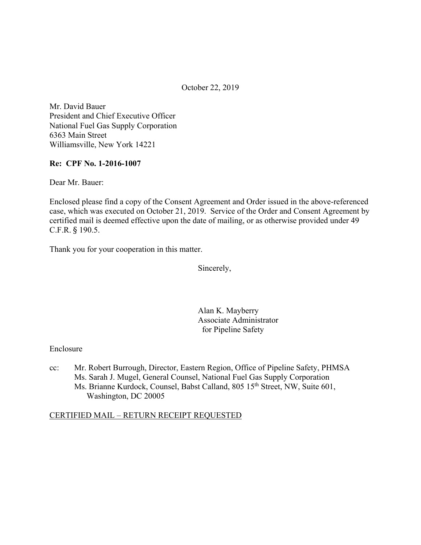October 22, 2019

Mr. David Bauer President and Chief Executive Officer National Fuel Gas Supply Corporation 6363 Main Street Williamsville, New York 14221

### **Re: CPF No. 1-2016-1007**

Dear Mr. Bauer:

Enclosed please find a copy of the Consent Agreement and Order issued in the above-referenced case, which was executed on October 21, 2019. Service of the Order and Consent Agreement by certified mail is deemed effective upon the date of mailing, or as otherwise provided under 49 C.F.R. § 190.5.

Thank you for your cooperation in this matter.

Sincerely,

Alan K. Mayberry Associate Administrator for Pipeline Safety

Enclosure

cc: Mr. Robert Burrough, Director, Eastern Region, Office of Pipeline Safety, PHMSA Ms. Sarah J. Mugel, General Counsel, National Fuel Gas Supply Corporation Ms. Brianne Kurdock, Counsel, Babst Calland, 805 15<sup>th</sup> Street, NW, Suite 601, Washington, DC 20005

### CERTIFIED MAIL – RETURN RECEIPT REQUESTED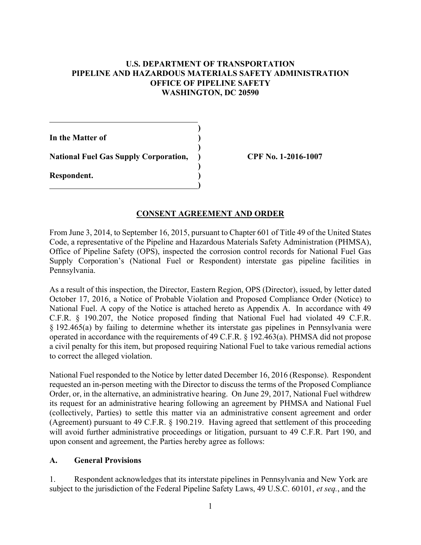## **U.S. DEPARTMENT OF TRANSPORTATION PIPELINE AND HAZARDOUS MATERIALS SAFETY ADMINISTRATION OFFICE OF PIPELINE SAFETY WASHINGTON, DC 20590**

**)** 

**)** 

**)** 

**)** 

**In the Matter of ) National Fuel Gas Supply Corporation, ) CPF No. 1-2016-1007 Respondent. )** 

 $\overline{a}$ 

## **CONSENT AGREEMENT AND ORDER**

From June 3, 2014, to September 16, 2015, pursuant to Chapter 601 of Title 49 of the United States Code, a representative of the Pipeline and Hazardous Materials Safety Administration (PHMSA), Office of Pipeline Safety (OPS), inspected the corrosion control records for National Fuel Gas Supply Corporation's (National Fuel or Respondent) interstate gas pipeline facilities in Pennsylvania.

As a result of this inspection, the Director, Eastern Region, OPS (Director), issued, by letter dated October 17, 2016, a Notice of Probable Violation and Proposed Compliance Order (Notice) to National Fuel. A copy of the Notice is attached hereto as Appendix A. In accordance with 49 C.F.R. § 190.207, the Notice proposed finding that National Fuel had violated 49 C.F.R. § 192.465(a) by failing to determine whether its interstate gas pipelines in Pennsylvania were operated in accordance with the requirements of 49 C.F.R. § 192.463(a). PHMSA did not propose a civil penalty for this item, but proposed requiring National Fuel to take various remedial actions to correct the alleged violation.

National Fuel responded to the Notice by letter dated December 16, 2016 (Response). Respondent requested an in-person meeting with the Director to discuss the terms of the Proposed Compliance Order, or, in the alternative, an administrative hearing. On June 29, 2017, National Fuel withdrew its request for an administrative hearing following an agreement by PHMSA and National Fuel (collectively, Parties) to settle this matter via an administrative consent agreement and order (Agreement) pursuant to 49 C.F.R. § 190.219. Having agreed that settlement of this proceeding will avoid further administrative proceedings or litigation, pursuant to 49 C.F.R. Part 190, and upon consent and agreement, the Parties hereby agree as follows:

### **A. General Provisions**

1. Respondent acknowledges that its interstate pipelines in Pennsylvania and New York are subject to the jurisdiction of the Federal Pipeline Safety Laws, 49 U.S.C. 60101, *et seq.*, and the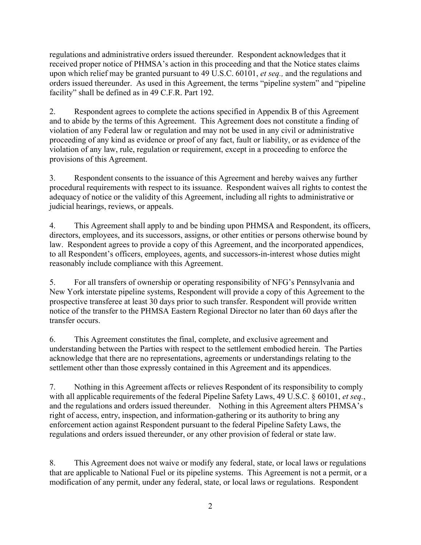regulations and administrative orders issued thereunder. Respondent acknowledges that it received proper notice of PHMSA's action in this proceeding and that the Notice states claims upon which relief may be granted pursuant to 49 U.S.C. 60101, *et seq.,* and the regulations and orders issued thereunder. As used in this Agreement, the terms "pipeline system" and "pipeline facility" shall be defined as in 49 C.F.R. Part 192.

2. Respondent agrees to complete the actions specified in Appendix B of this Agreement and to abide by the terms of this Agreement. This Agreement does not constitute a finding of violation of any Federal law or regulation and may not be used in any civil or administrative proceeding of any kind as evidence or proof of any fact, fault or liability, or as evidence of the violation of any law, rule, regulation or requirement, except in a proceeding to enforce the provisions of this Agreement.

3. Respondent consents to the issuance of this Agreement and hereby waives any further procedural requirements with respect to its issuance. Respondent waives all rights to contest the adequacy of notice or the validity of this Agreement, including all rights to administrative or judicial hearings, reviews, or appeals.

4. This Agreement shall apply to and be binding upon PHMSA and Respondent, its officers, directors, employees, and its successors, assigns, or other entities or persons otherwise bound by law. Respondent agrees to provide a copy of this Agreement, and the incorporated appendices, to all Respondent's officers, employees, agents, and successors-in-interest whose duties might reasonably include compliance with this Agreement.

5. For all transfers of ownership or operating responsibility of NFG's Pennsylvania and New York interstate pipeline systems, Respondent will provide a copy of this Agreement to the prospective transferee at least 30 days prior to such transfer. Respondent will provide written notice of the transfer to the PHMSA Eastern Regional Director no later than 60 days after the transfer occurs.

6. This Agreement constitutes the final, complete, and exclusive agreement and understanding between the Parties with respect to the settlement embodied herein. The Parties acknowledge that there are no representations, agreements or understandings relating to the settlement other than those expressly contained in this Agreement and its appendices.

 7. Nothing in this Agreement affects or relieves Respondent of its responsibility to comply with all applicable requirements of the federal Pipeline Safety Laws, 49 U.S.C. § 60101, *et seq.*, and the regulations and orders issued thereunder. Nothing in this Agreement alters PHMSA's right of access, entry, inspection, and information-gathering or its authority to bring any enforcement action against Respondent pursuant to the federal Pipeline Safety Laws, the regulations and orders issued thereunder, or any other provision of federal or state law.

8. This Agreement does not waive or modify any federal, state, or local laws or regulations that are applicable to National Fuel or its pipeline systems. This Agreement is not a permit, or a modification of any permit, under any federal, state, or local laws or regulations. Respondent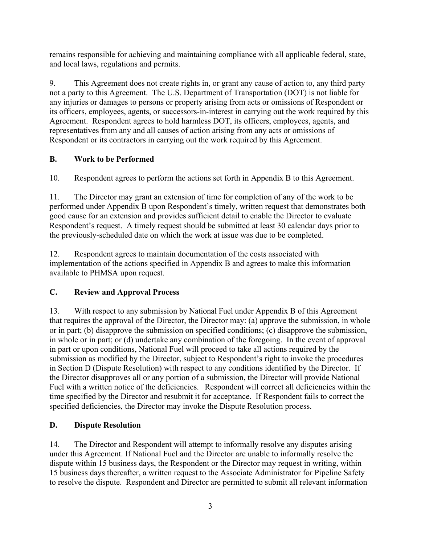remains responsible for achieving and maintaining compliance with all applicable federal, state, and local laws, regulations and permits.

9. This Agreement does not create rights in, or grant any cause of action to, any third party not a party to this Agreement. The U.S. Department of Transportation (DOT) is not liable for any injuries or damages to persons or property arising from acts or omissions of Respondent or its officers, employees, agents, or successors-in-interest in carrying out the work required by this Agreement. Respondent agrees to hold harmless DOT, its officers, employees, agents, and representatives from any and all causes of action arising from any acts or omissions of Respondent or its contractors in carrying out the work required by this Agreement.

# **B. Work to be Performed**

10. Respondent agrees to perform the actions set forth in Appendix B to this Agreement.

11. The Director may grant an extension of time for completion of any of the work to be performed under Appendix B upon Respondent's timely, written request that demonstrates both good cause for an extension and provides sufficient detail to enable the Director to evaluate Respondent's request. A timely request should be submitted at least 30 calendar days prior to the previously-scheduled date on which the work at issue was due to be completed.

12. Respondent agrees to maintain documentation of the costs associated with implementation of the actions specified in Appendix B and agrees to make this information available to PHMSA upon request.

# **C. Review and Approval Process**

13. With respect to any submission by National Fuel under Appendix B of this Agreement that requires the approval of the Director, the Director may: (a) approve the submission, in whole or in part; (b) disapprove the submission on specified conditions; (c) disapprove the submission, in whole or in part; or (d) undertake any combination of the foregoing. In the event of approval in part or upon conditions, National Fuel will proceed to take all actions required by the submission as modified by the Director, subject to Respondent's right to invoke the procedures in Section D (Dispute Resolution) with respect to any conditions identified by the Director. If the Director disapproves all or any portion of a submission, the Director will provide National Fuel with a written notice of the deficiencies. Respondent will correct all deficiencies within the time specified by the Director and resubmit it for acceptance. If Respondent fails to correct the specified deficiencies, the Director may invoke the Dispute Resolution process.

# **D. Dispute Resolution**

14. The Director and Respondent will attempt to informally resolve any disputes arising under this Agreement. If National Fuel and the Director are unable to informally resolve the dispute within 15 business days, the Respondent or the Director may request in writing, within 15 business days thereafter, a written request to the Associate Administrator for Pipeline Safety to resolve the dispute. Respondent and Director are permitted to submit all relevant information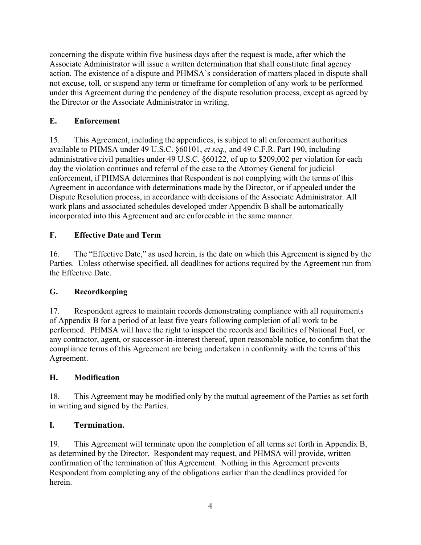concerning the dispute within five business days after the request is made, after which the Associate Administrator will issue a written determination that shall constitute final agency action. The existence of a dispute and PHMSA's consideration of matters placed in dispute shall not excuse, toll, or suspend any term or timeframe for completion of any work to be performed under this Agreement during the pendency of the dispute resolution process, except as agreed by the Director or the Associate Administrator in writing.

## **E. Enforcement**

 Dispute Resolution process, in accordance with decisions of the Associate Administrator. All 15. This Agreement, including the appendices, is subject to all enforcement authorities available to PHMSA under 49 U.S.C. §60101, *et seq.,* and 49 C.F.R. Part 190, including administrative civil penalties under 49 U.S.C. §60122, of up to \$209,002 per violation for each day the violation continues and referral of the case to the Attorney General for judicial enforcement, if PHMSA determines that Respondent is not complying with the terms of this Agreement in accordance with determinations made by the Director, or if appealed under the work plans and associated schedules developed under Appendix B shall be automatically incorporated into this Agreement and are enforceable in the same manner.

# **F. Effective Date and Term**

16. The "Effective Date," as used herein, is the date on which this Agreement is signed by the Parties. Unless otherwise specified, all deadlines for actions required by the Agreement run from the Effective Date.

# **G. Recordkeeping**

17. Respondent agrees to maintain records demonstrating compliance with all requirements of Appendix B for a period of at least five years following completion of all work to be performed. PHMSA will have the right to inspect the records and facilities of National Fuel, or any contractor, agent, or successor-in-interest thereof, upon reasonable notice, to confirm that the compliance terms of this Agreement are being undertaken in conformity with the terms of this Agreement.

# **H. Modification**

 in writing and signed by the Parties. 18. This Agreement may be modified only by the mutual agreement of the Parties as set forth

#### **I**. **I. Termination.**

19. This Agreement will terminate upon the completion of all terms set forth in Appendix B, as determined by the Director. Respondent may request, and PHMSA will provide, written confirmation of the termination of this Agreement. Nothing in this Agreement prevents Respondent from completing any of the obligations earlier than the deadlines provided for herein.